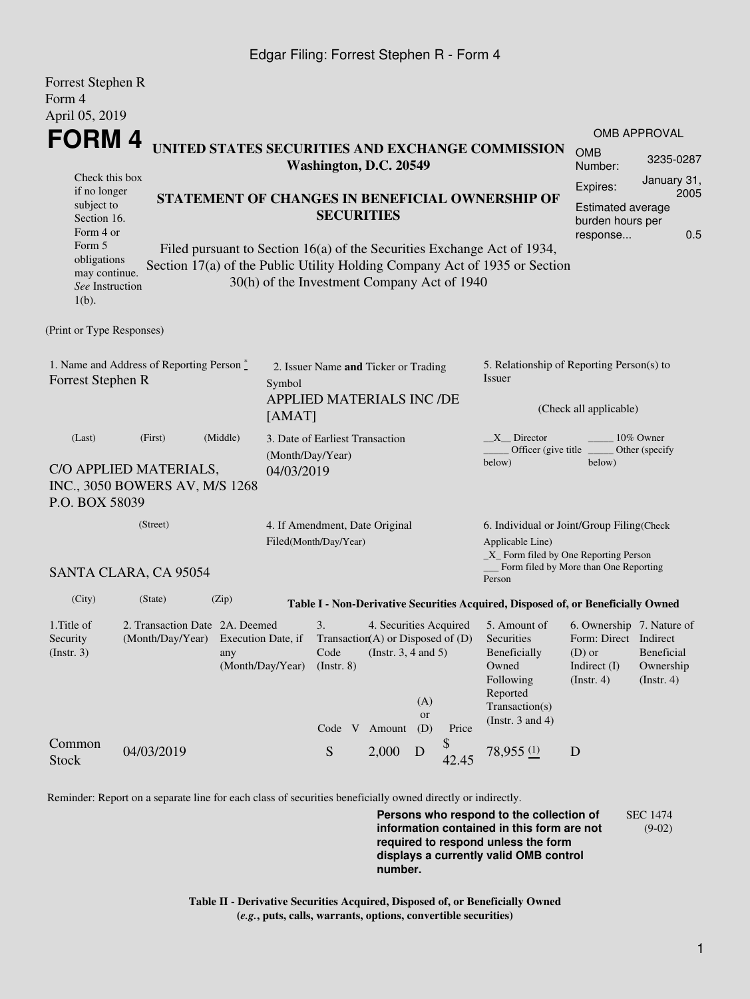### Edgar Filing: Forrest Stephen R - Form 4

Forrest Stephen R

| I UILUST DIUPIIUI IX<br>Form 4                                                                                                        |                                                                       |                                                                                                                                                                                                                                                                              |                                                                                       |                                                                                                           |                        |                         |       |                                                                                                                                                                                                             |                                                                                                      |                                        |  |
|---------------------------------------------------------------------------------------------------------------------------------------|-----------------------------------------------------------------------|------------------------------------------------------------------------------------------------------------------------------------------------------------------------------------------------------------------------------------------------------------------------------|---------------------------------------------------------------------------------------|-----------------------------------------------------------------------------------------------------------|------------------------|-------------------------|-------|-------------------------------------------------------------------------------------------------------------------------------------------------------------------------------------------------------------|------------------------------------------------------------------------------------------------------|----------------------------------------|--|
| April 05, 2019                                                                                                                        |                                                                       |                                                                                                                                                                                                                                                                              |                                                                                       |                                                                                                           |                        |                         |       |                                                                                                                                                                                                             |                                                                                                      | <b>OMB APPROVAL</b>                    |  |
| FORM 4<br>UNITED STATES SECURITIES AND EXCHANGE COMMISSION<br>Washington, D.C. 20549                                                  |                                                                       |                                                                                                                                                                                                                                                                              |                                                                                       |                                                                                                           |                        |                         |       | <b>OMB</b><br>Number:                                                                                                                                                                                       | 3235-0287                                                                                            |                                        |  |
| Check this box<br>if no longer<br>subject to<br>Section 16.<br>Form 4 or<br>Form 5<br>obligations<br>may continue.<br>See Instruction |                                                                       | STATEMENT OF CHANGES IN BENEFICIAL OWNERSHIP OF<br><b>SECURITIES</b><br>Filed pursuant to Section 16(a) of the Securities Exchange Act of 1934,<br>Section 17(a) of the Public Utility Holding Company Act of 1935 or Section<br>30(h) of the Investment Company Act of 1940 |                                                                                       |                                                                                                           |                        |                         |       | Expires:<br>burden hours per<br>response                                                                                                                                                                    | January 31,<br>2005<br>Estimated average<br>0.5                                                      |                                        |  |
| $1(b)$ .                                                                                                                              |                                                                       |                                                                                                                                                                                                                                                                              |                                                                                       |                                                                                                           |                        |                         |       |                                                                                                                                                                                                             |                                                                                                      |                                        |  |
| (Print or Type Responses)                                                                                                             |                                                                       |                                                                                                                                                                                                                                                                              |                                                                                       |                                                                                                           |                        |                         |       |                                                                                                                                                                                                             |                                                                                                      |                                        |  |
| 1. Name and Address of Reporting Person $\stackrel{*}{\text{-}}$<br>Forrest Stephen R                                                 |                                                                       |                                                                                                                                                                                                                                                                              | 2. Issuer Name and Ticker or Trading<br>Symbol<br>APPLIED MATERIALS INC /DE<br>[AMAT] |                                                                                                           |                        |                         |       | 5. Relationship of Reporting Person(s) to<br>Issuer<br>(Check all applicable)                                                                                                                               |                                                                                                      |                                        |  |
| (Last)<br>(First)<br>(Middle)<br>C/O APPLIED MATERIALS,<br>INC., 3050 BOWERS AV, M/S 1268<br>P.O. BOX 58039                           |                                                                       |                                                                                                                                                                                                                                                                              |                                                                                       | 3. Date of Earliest Transaction<br>(Month/Day/Year)<br>04/03/2019                                         |                        |                         |       | 10% Owner<br>$X$ Director<br>Officer (give title)<br>Other (specify<br>below)<br>below)                                                                                                                     |                                                                                                      |                                        |  |
| (Street)<br>SANTA CLARA, CA 95054                                                                                                     |                                                                       |                                                                                                                                                                                                                                                                              |                                                                                       | 4. If Amendment, Date Original<br>Filed(Month/Day/Year)                                                   |                        |                         |       | 6. Individual or Joint/Group Filing(Check<br>Applicable Line)<br>_X_ Form filed by One Reporting Person<br>Form filed by More than One Reporting                                                            |                                                                                                      |                                        |  |
| (City)                                                                                                                                | (State)                                                               | (Zip)                                                                                                                                                                                                                                                                        |                                                                                       |                                                                                                           |                        |                         |       | Person                                                                                                                                                                                                      |                                                                                                      |                                        |  |
| 1. Title of<br>Security<br>(Insert. 3)                                                                                                | 2. Transaction Date 2A. Deemed<br>(Month/Day/Year) Execution Date, if | any                                                                                                                                                                                                                                                                          | (Month/Day/Year)                                                                      | 3.<br>Transaction(A) or Disposed of $(D)$<br>Code (Instr. $3, 4$ and $5$ )<br>(Instr. 8)<br>Code V Amount | 4. Securities Acquired | (A)<br><b>or</b><br>(D) | Price | Table I - Non-Derivative Securities Acquired, Disposed of, or Beneficially Owned<br>5. Amount of<br>Securities<br>Beneficially<br>Owned<br>Following<br>Reported<br>Transaction(s)<br>(Instr. $3$ and $4$ ) | 6. Ownership 7. Nature of<br>Form: Direct Indirect<br>$(D)$ or<br>Indirect $(I)$<br>$($ Instr. 4 $)$ | Beneficial<br>Ownership<br>(Insert. 4) |  |
| Common<br><b>Stock</b>                                                                                                                | 04/03/2019                                                            |                                                                                                                                                                                                                                                                              |                                                                                       | S                                                                                                         | 2,000                  | D                       | 42.45 | $78,955$ $\underline{\hspace{1cm}}$                                                                                                                                                                         | D                                                                                                    |                                        |  |

Reminder: Report on a separate line for each class of securities beneficially owned directly or indirectly.

**Persons who respond to the collection of information contained in this form are not required to respond unless the form displays a currently valid OMB control number.** SEC 1474 (9-02)

**Table II - Derivative Securities Acquired, Disposed of, or Beneficially Owned (***e.g.***, puts, calls, warrants, options, convertible securities)**